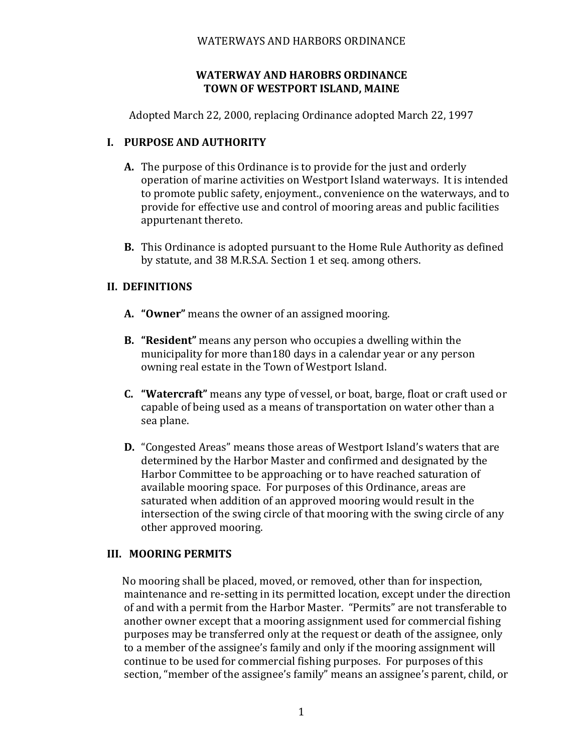### WATERWAYS AND HARBORS ORDINANCE

### **WATERWAY AND HAROBRS ORDINANCE TOWN OF WESTPORT ISLAND, MAINE**

Adopted March 22, 2000, replacing Ordinance adopted March 22, 1997

### **I. PURPOSE AND AUTHORITY**

- **A.** The purpose of this Ordinance is to provide for the just and orderly operation of marine activities on Westport Island waterways. It is intended to promote public safety, enjoyment., convenience on the waterways, and to provide for effective use and control of mooring areas and public facilities appurtenant thereto.
- **B.** This Ordinance is adopted pursuant to the Home Rule Authority as defined by statute, and 38 M.R.S.A. Section 1 et seq. among others.

# **II. DEFINITIONS**

- **A. "Owner"** means the owner of an assigned mooring.
- **B. "Resident"** means any person who occupies a dwelling within the municipality for more than180 days in a calendar year or any person owning real estate in the Town of Westport Island.
- **C. "Watercraft"** means any type of vessel, or boat, barge, float or craft used or capable of being used as a means of transportation on water other than a sea plane.
- **D.** "Congested Areas" means those areas of Westport Island's waters that are determined by the Harbor Master and confirmed and designated by the Harbor Committee to be approaching or to have reached saturation of available mooring space. For purposes of this Ordinance, areas are saturated when addition of an approved mooring would result in the intersection of the swing circle of that mooring with the swing circle of any other approved mooring.

# **III. MOORING PERMITS**

No mooring shall be placed, moved, or removed, other than for inspection, maintenance and re-setting in its permitted location, except under the direction of and with a permit from the Harbor Master. "Permits" are not transferable to another owner except that a mooring assignment used for commercial fishing purposes may be transferred only at the request or death of the assignee, only to a member of the assignee's family and only if the mooring assignment will continue to be used for commercial fishing purposes. For purposes of this section, "member of the assignee's family" means an assignee's parent, child, or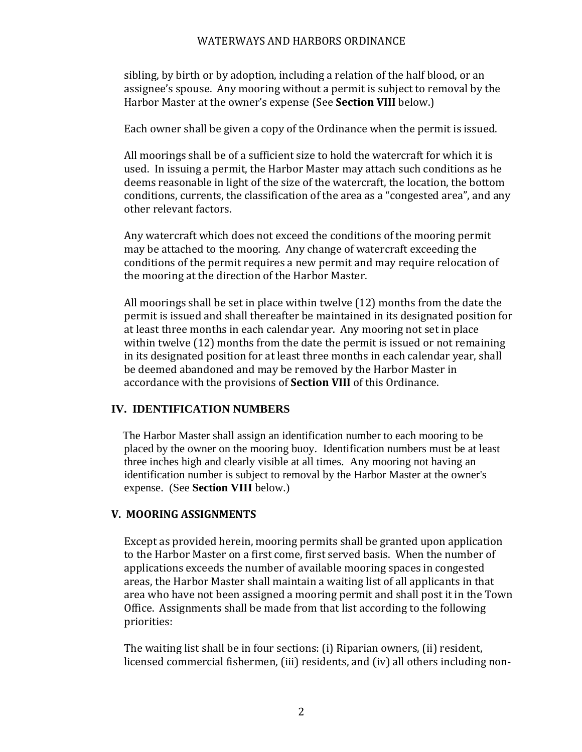#### WATERWAYS AND HARBORS ORDINANCE

sibling, by birth or by adoption, including a relation of the half blood, or an assignee's spouse. Any mooring without a permit is subject to removal by the Harbor Master at the owner's expense (See **Section VIII** below.)

Each owner shall be given a copy of the Ordinance when the permit is issued.

All moorings shall be of a sufficient size to hold the watercraft for which it is used. In issuing a permit, the Harbor Master may attach such conditions as he deems reasonable in light of the size of the watercraft, the location, the bottom conditions, currents, the classification of the area as a "congested area", and any other relevant factors.

Any watercraft which does not exceed the conditions of the mooring permit may be attached to the mooring. Any change of watercraft exceeding the conditions of the permit requires a new permit and may require relocation of the mooring at the direction of the Harbor Master.

All moorings shall be set in place within twelve (12) months from the date the permit is issued and shall thereafter be maintained in its designated position for at least three months in each calendar year. Any mooring not set in place within twelve (12) months from the date the permit is issued or not remaining in its designated position for at least three months in each calendar year, shall be deemed abandoned and may be removed by the Harbor Master in accordance with the provisions of **Section VIII** of this Ordinance.

#### **IV. IDENTIFICATION NUMBERS**

The Harbor Master shall assign an identification number to each mooring to be placed by the owner on the mooring buoy. Identification numbers must be at least three inches high and clearly visible at all times. Any mooring not having an identification number is subject to removal by the Harbor Master at the owner's expense. (See **Section VIII** below.)

# **V. MOORING ASSIGNMENTS**

Except as provided herein, mooring permits shall be granted upon application to the Harbor Master on a first come, first served basis. When the number of applications exceeds the number of available mooring spaces in congested areas, the Harbor Master shall maintain a waiting list of all applicants in that area who have not been assigned a mooring permit and shall post it in the Town Office. Assignments shall be made from that list according to the following priorities:

The waiting list shall be in four sections: (i) Riparian owners, (ii) resident, licensed commercial fishermen, (iii) residents, and (iv) all others including non-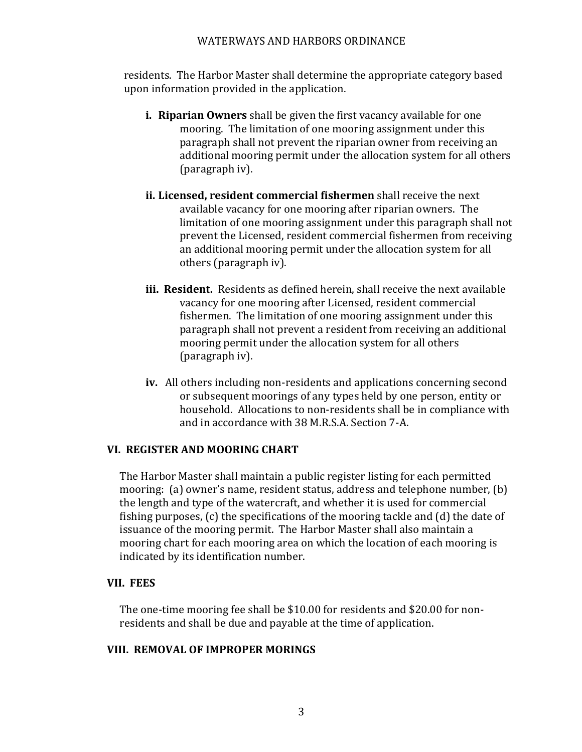### WATERWAYS AND HARBORS ORDINANCE

residents. The Harbor Master shall determine the appropriate category based upon information provided in the application.

- **i. Riparian Owners** shall be given the first vacancy available for one mooring. The limitation of one mooring assignment under this paragraph shall not prevent the riparian owner from receiving an additional mooring permit under the allocation system for all others (paragraph iv).
- **ii. Licensed, resident commercial fishermen** shall receive the next available vacancy for one mooring after riparian owners. The limitation of one mooring assignment under this paragraph shall not prevent the Licensed, resident commercial fishermen from receiving an additional mooring permit under the allocation system for all others (paragraph iv).
- **iii. Resident.** Residents as defined herein, shall receive the next available vacancy for one mooring after Licensed, resident commercial fishermen. The limitation of one mooring assignment under this paragraph shall not prevent a resident from receiving an additional mooring permit under the allocation system for all others (paragraph iv).
- **iv.** All others including non-residents and applications concerning second or subsequent moorings of any types held by one person, entity or household. Allocations to non-residents shall be in compliance with and in accordance with 38 M.R.S.A. Section 7-A.

# **VI. REGISTER AND MOORING CHART**

The Harbor Master shall maintain a public register listing for each permitted mooring: (a) owner's name, resident status, address and telephone number, (b) the length and type of the watercraft, and whether it is used for commercial fishing purposes, (c) the specifications of the mooring tackle and (d) the date of issuance of the mooring permit. The Harbor Master shall also maintain a mooring chart for each mooring area on which the location of each mooring is indicated by its identification number.

#### **VII. FEES**

The one-time mooring fee shall be \$10.00 for residents and \$20.00 for nonresidents and shall be due and payable at the time of application.

#### **VIII. REMOVAL OF IMPROPER MORINGS**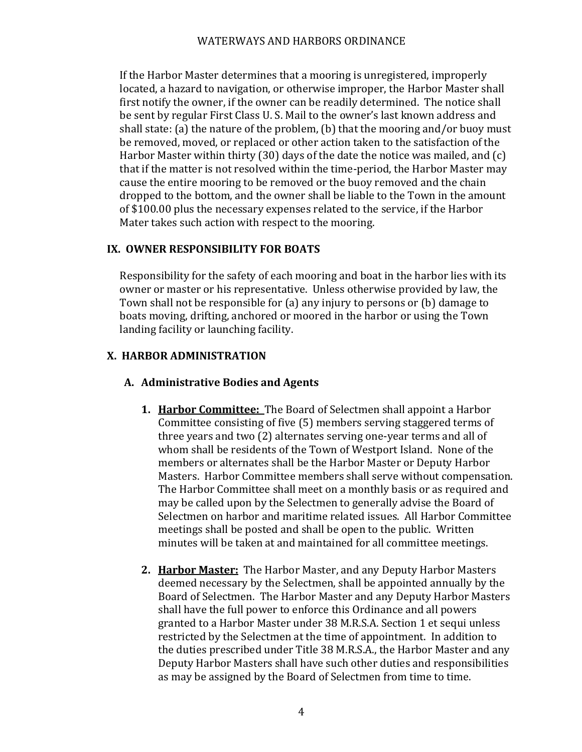If the Harbor Master determines that a mooring is unregistered, improperly located, a hazard to navigation, or otherwise improper, the Harbor Master shall first notify the owner, if the owner can be readily determined. The notice shall be sent by regular First Class U. S. Mail to the owner's last known address and shall state: (a) the nature of the problem, (b) that the mooring and/or buoy must be removed, moved, or replaced or other action taken to the satisfaction of the Harbor Master within thirty (30) days of the date the notice was mailed, and (c) that if the matter is not resolved within the time-period, the Harbor Master may cause the entire mooring to be removed or the buoy removed and the chain dropped to the bottom, and the owner shall be liable to the Town in the amount of \$100.00 plus the necessary expenses related to the service, if the Harbor Mater takes such action with respect to the mooring.

# **IX. OWNER RESPONSIBILITY FOR BOATS**

Responsibility for the safety of each mooring and boat in the harbor lies with its owner or master or his representative. Unless otherwise provided by law, the Town shall not be responsible for (a) any injury to persons or (b) damage to boats moving, drifting, anchored or moored in the harbor or using the Town landing facility or launching facility.

# **X. HARBOR ADMINISTRATION**

# **A. Administrative Bodies and Agents**

- **1. Harbor Committee:** The Board of Selectmen shall appoint a Harbor Committee consisting of five (5) members serving staggered terms of three years and two (2) alternates serving one-year terms and all of whom shall be residents of the Town of Westport Island. None of the members or alternates shall be the Harbor Master or Deputy Harbor Masters. Harbor Committee members shall serve without compensation. The Harbor Committee shall meet on a monthly basis or as required and may be called upon by the Selectmen to generally advise the Board of Selectmen on harbor and maritime related issues. All Harbor Committee meetings shall be posted and shall be open to the public. Written minutes will be taken at and maintained for all committee meetings.
- **2. Harbor Master:** The Harbor Master, and any Deputy Harbor Masters deemed necessary by the Selectmen, shall be appointed annually by the Board of Selectmen. The Harbor Master and any Deputy Harbor Masters shall have the full power to enforce this Ordinance and all powers granted to a Harbor Master under 38 M.R.S.A. Section 1 et sequi unless restricted by the Selectmen at the time of appointment. In addition to the duties prescribed under Title 38 M.R.S.A., the Harbor Master and any Deputy Harbor Masters shall have such other duties and responsibilities as may be assigned by the Board of Selectmen from time to time.